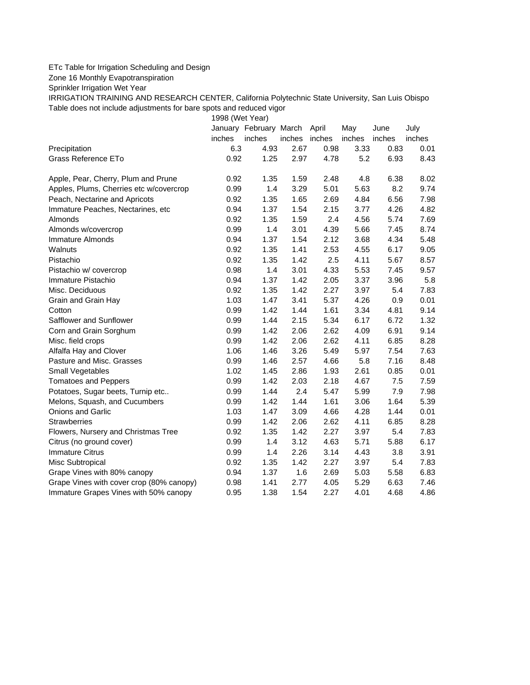## ETc Table for Irrigation Scheduling and Design

Zone 16 Monthly Evapotranspiration

Sprinkler Irrigation Wet Year

IRRIGATION TRAINING AND RESEARCH CENTER, California Polytechnic State University, San Luis Obispo Table does not include adjustments for bare spots and reduced vigor

1998 (Wet Year)

|                                          |        | January February March |               | April | May    | June   | July   |
|------------------------------------------|--------|------------------------|---------------|-------|--------|--------|--------|
|                                          | inches | inches                 | inches inches |       | inches | inches | inches |
| Precipitation                            | 6.3    | 4.93                   | 2.67          | 0.98  | 3.33   | 0.83   | 0.01   |
| Grass Reference ETo                      | 0.92   | 1.25                   | 2.97          | 4.78  | 5.2    | 6.93   | 8.43   |
| Apple, Pear, Cherry, Plum and Prune      | 0.92   | 1.35                   | 1.59          | 2.48  | 4.8    | 6.38   | 8.02   |
| Apples, Plums, Cherries etc w/covercrop  | 0.99   | 1.4                    | 3.29          | 5.01  | 5.63   | 8.2    | 9.74   |
| Peach, Nectarine and Apricots            | 0.92   | 1.35                   | 1.65          | 2.69  | 4.84   | 6.56   | 7.98   |
| Immature Peaches, Nectarines, etc        | 0.94   | 1.37                   | 1.54          | 2.15  | 3.77   | 4.26   | 4.82   |
| Almonds                                  | 0.92   | 1.35                   | 1.59          | 2.4   | 4.56   | 5.74   | 7.69   |
| Almonds w/covercrop                      | 0.99   | 1.4                    | 3.01          | 4.39  | 5.66   | 7.45   | 8.74   |
| Immature Almonds                         | 0.94   | 1.37                   | 1.54          | 2.12  | 3.68   | 4.34   | 5.48   |
| Walnuts                                  | 0.92   | 1.35                   | 1.41          | 2.53  | 4.55   | 6.17   | 9.05   |
| Pistachio                                | 0.92   | 1.35                   | 1.42          | 2.5   | 4.11   | 5.67   | 8.57   |
| Pistachio w/ covercrop                   | 0.98   | 1.4                    | 3.01          | 4.33  | 5.53   | 7.45   | 9.57   |
| Immature Pistachio                       | 0.94   | 1.37                   | 1.42          | 2.05  | 3.37   | 3.96   | 5.8    |
| Misc. Deciduous                          | 0.92   | 1.35                   | 1.42          | 2.27  | 3.97   | 5.4    | 7.83   |
| Grain and Grain Hay                      | 1.03   | 1.47                   | 3.41          | 5.37  | 4.26   | 0.9    | 0.01   |
| Cotton                                   | 0.99   | 1.42                   | 1.44          | 1.61  | 3.34   | 4.81   | 9.14   |
| Safflower and Sunflower                  | 0.99   | 1.44                   | 2.15          | 5.34  | 6.17   | 6.72   | 1.32   |
| Corn and Grain Sorghum                   | 0.99   | 1.42                   | 2.06          | 2.62  | 4.09   | 6.91   | 9.14   |
| Misc. field crops                        | 0.99   | 1.42                   | 2.06          | 2.62  | 4.11   | 6.85   | 8.28   |
| Alfalfa Hay and Clover                   | 1.06   | 1.46                   | 3.26          | 5.49  | 5.97   | 7.54   | 7.63   |
| Pasture and Misc. Grasses                | 0.99   | 1.46                   | 2.57          | 4.66  | 5.8    | 7.16   | 8.48   |
| Small Vegetables                         | 1.02   | 1.45                   | 2.86          | 1.93  | 2.61   | 0.85   | 0.01   |
| <b>Tomatoes and Peppers</b>              | 0.99   | 1.42                   | 2.03          | 2.18  | 4.67   | 7.5    | 7.59   |
| Potatoes, Sugar beets, Turnip etc        | 0.99   | 1.44                   | 2.4           | 5.47  | 5.99   | 7.9    | 7.98   |
| Melons, Squash, and Cucumbers            | 0.99   | 1.42                   | 1.44          | 1.61  | 3.06   | 1.64   | 5.39   |
| <b>Onions and Garlic</b>                 | 1.03   | 1.47                   | 3.09          | 4.66  | 4.28   | 1.44   | 0.01   |
| <b>Strawberries</b>                      | 0.99   | 1.42                   | 2.06          | 2.62  | 4.11   | 6.85   | 8.28   |
| Flowers, Nursery and Christmas Tree      | 0.92   | 1.35                   | 1.42          | 2.27  | 3.97   | 5.4    | 7.83   |
| Citrus (no ground cover)                 | 0.99   | 1.4                    | 3.12          | 4.63  | 5.71   | 5.88   | 6.17   |
| <b>Immature Citrus</b>                   | 0.99   | 1.4                    | 2.26          | 3.14  | 4.43   | 3.8    | 3.91   |
| Misc Subtropical                         | 0.92   | 1.35                   | 1.42          | 2.27  | 3.97   | 5.4    | 7.83   |
| Grape Vines with 80% canopy              | 0.94   | 1.37                   | 1.6           | 2.69  | 5.03   | 5.58   | 6.83   |
| Grape Vines with cover crop (80% canopy) | 0.98   | 1.41                   | 2.77          | 4.05  | 5.29   | 6.63   | 7.46   |
| Immature Grapes Vines with 50% canopy    | 0.95   | 1.38                   | 1.54          | 2.27  | 4.01   | 4.68   | 4.86   |